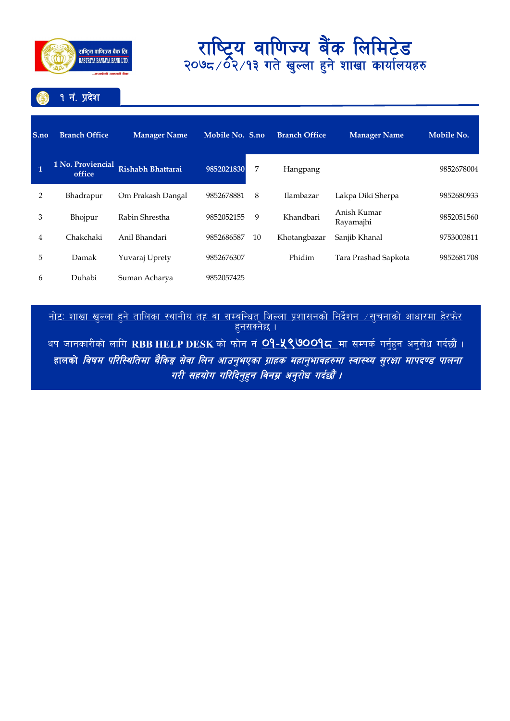

१ नं. प्रदेश

| S.no           | <b>Branch Office</b>        | <b>Manager Name</b> | Mobile No. S.no |    | <b>Branch Office</b> | <b>Manager Name</b>      | Mobile No. |
|----------------|-----------------------------|---------------------|-----------------|----|----------------------|--------------------------|------------|
| $\mathbf{1}$   | 1 No. Proviencial<br>office | Rishabh Bhattarai   | 9852021830      | 7  | Hangpang             |                          | 9852678004 |
| $\overline{2}$ | Bhadrapur                   | Om Prakash Dangal   | 9852678881      | 8  | Ilambazar            | Lakpa Diki Sherpa        | 9852680933 |
| 3              | Bhojpur                     | Rabin Shrestha      | 9852052155      | 9  | Khandbari            | Anish Kumar<br>Rayamajhi | 9852051560 |
| 4              | Chakchaki                   | Anil Bhandari       | 9852686587      | 10 | Khotangbazar         | Sanjib Khanal            | 9753003811 |
| 5              | Damak                       | Yuvaraj Uprety      | 9852676307      |    | Phidim               | Tara Prashad Sapkota     | 9852681708 |
| 6              | Duhabi                      | Suman Acharya       | 9852057425      |    |                      |                          |            |

<u>नाटः शाखा खुल्ला हुन ताालका स्थानाय तह वा सम्बान्धत् जिल्ला प्रशासनका निदशन ⁄सुचनाका आधारमा हरफर</u> । <u>हुनसक्नछ ।</u>

थप जानकारीको लागि RBB HELP DESK को फोन नं <mark>O9-५९७OO9८</mark> मा सम्पर्क गर्नुहुन अनुरोध गर्दछौं । हालको *विषम परिस्थितिमा बैकिङ्ग सेवा लिन आउन्भएका ग्राहक महान्भावहरुमा स्वास्थ्य सुरक्षा मापदण्ड पालना* गरी सहयोग गरिदिनुहुन विनम्र अनुरोध गर्दछौं ।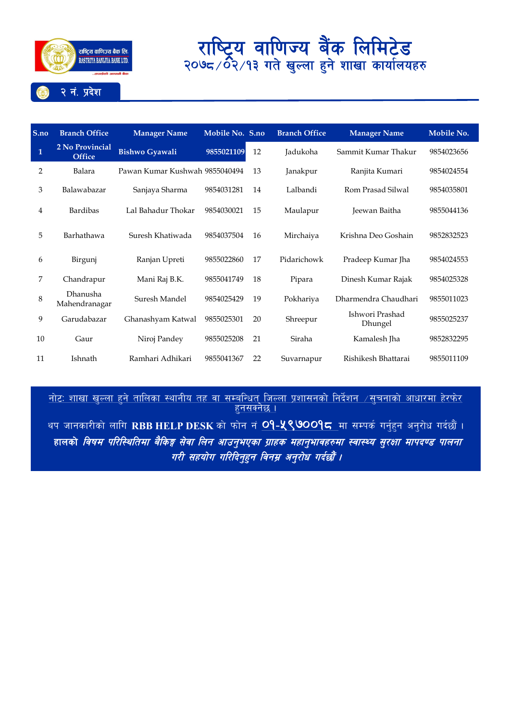

#### **S.no Branch Office Manager Name Mobile No. S.no Branch Office Manager Name Mobile No. 1 2 No Provincial Office Bishwo Gyawali <sup>9855021109</sup>** <sup>12</sup> Jadukoha Sammit Kumar Thakur <sup>9854023656</sup> 2 Balara Pawan Kumar Kushwah 9855040494 13 Janakpur Ranjita Kumari 9854024554 3 Balawabazar Sanjaya Sharma 9854031281 14 Lalbandi Rom Prasad Silwal 9854035801 4 Bardibas Lal Bahadur Thokar 9854030021 15 Maulapur Jeewan Baitha 9855044136 5 Barhathawa Suresh Khatiwada 9854037504 16 Mirchaiya Krishna Deo Goshain 9852832523 6 Birgunj Ranjan Upreti 9855022860 17 Pidarichowk Pradeep Kumar Jha 9854024553 7 Chandrapur Mani Raj B.K. 9855041749 18 Pipara Dinesh Kumar Rajak 9854025328 8 Dhanusha<br>Mahendranagar Mahendranagar Suresh Mandel <sup>9854025429</sup> <sup>19</sup> Pokhariya Dharmendra Chaudhari <sup>9855011023</sup> <sup>9</sup> Garudabazar Ghanashyam Katwal <sup>9855025301</sup> <sup>20</sup> Shreepur Ishwori Prashad worr rashad 9855025237<br>Dhungel 10 Gaur Niroj Pandey 9855025208 21 Siraha Kamalesh Jha 9852832295 11 Ishnath Ramhari Adhikari 9855041367 22 Suvarnapur Rishikesh Bhattarai 9855011109

नोटः शाखा खल्ला हने तालिका स्थानीय तह वा सम्बन्धित जिल्ला प्रशासनको निर्देशन  $\vee$ सचनाको आधारमा हेरफेर हनसक्नेछ ।

थप जानकारीको लागि RBB HELP DESK को फोन नं **09-५९७009८** मा सम्पर्क गर्नुहन अनुरोध गर्दछौं । हालको *विषम परिस्थितिमा बैकिङ्ग सेवा लिन आउनुभएका ग्राहक महानुभावहरुमा स्वास्थ्य सुरक्षा मापदण्ड पालना* गरी सहयोग गरिदिनुहन विनम्र अनुरोध गर्दछौं ।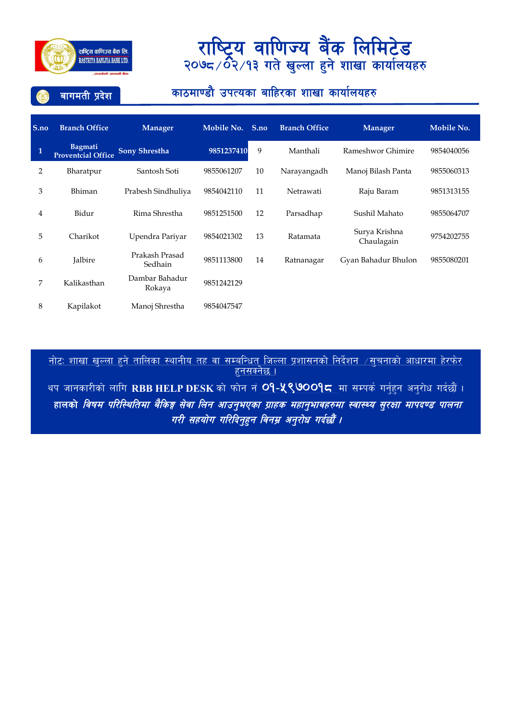

बागमती प्रदेश

### काठमाण्डौ उपत्यका बाहिरका शाखा कार्यालयहरु

| S.no | <b>Branch Office</b>                        | Manager                   | Mobile No. | S.no | <b>Branch Office</b> | <b>Manager</b>              | Mobile No. |
|------|---------------------------------------------|---------------------------|------------|------|----------------------|-----------------------------|------------|
| 1    | <b>Bagmati</b><br><b>Proventcial Office</b> | <b>Sony Shrestha</b>      | 9851237410 | 9    | Manthali             | Rameshwor Ghimire           | 9854040056 |
| 2    | Bharatpur                                   | Santosh Soti              | 9855061207 | 10   | Narayangadh          | Manoj Bilash Panta          | 9855060313 |
| 3    | Bhiman                                      | Prabesh Sindhuliya        | 9854042110 | 11   | Netrawati            | Raju Baram                  | 9851313155 |
| 4    | Bidur                                       | Rima Shrestha             | 9851251500 | 12   | Parsadhap            | Sushil Mahato               | 9855064707 |
| 5    | Charikot                                    | Upendra Pariyar           | 9854021302 | 13   | Ratamata             | Surya Krishna<br>Chaulagain | 9754202755 |
| 6    | Jalbire                                     | Prakash Prasad<br>Sedhain | 9851113800 | 14   | Ratnanagar           | Gyan Bahadur Bhulon         | 9855080201 |
| 7    | Kalikasthan                                 | Dambar Bahadur<br>Rokaya  | 9851242129 |      |                      |                             |            |
| 8    | Kapilakot                                   | Manoi Shrestha            | 9854047547 |      |                      |                             |            |

<u>नाटः शाखा खुल्ला हुन ताालका स्थानाय तह वा सम्बान्धत् जिल्ला प्रशासनका निदशन ⁄सुचनाका आधारमा हरफर</u> । <u>हुनसक्नछ ।</u>

थप जानकारीको लागि RBB HELP DESK को फोन नं <mark>O9-<mark>५९७</mark>00<mark>9८</mark> मा सम्पर्क गर्नुहुन अनुरोध गर्दछौं ।</mark> हालको *विषम परिस्थितिमा बैकिङ्ग सेवा लिन आउनुभएका ग्राहक महानुभावहरुमा स्वास्थ्य सुरक्षा मापदण्ड पालना* गरी सहयोग गरिदिनुहुन विनम्र अनुरोध गर्दछौं ।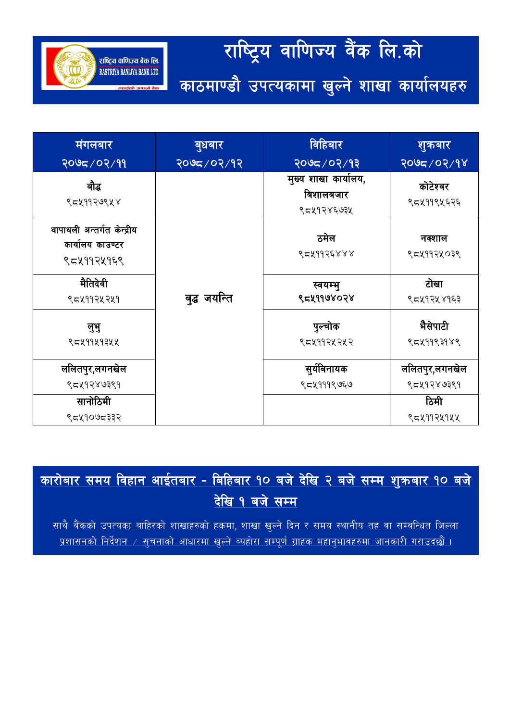#### राष्ट्रिय वाणिज्य वैंक लि.को राष्ट्रिय वाणिज्य बैंक लि. RASTRIYA BANIJYA BANK LTD. काठमाण्डौ उपत्यकामा खुल्ने शाखा कार्यालयहरु

विहिबार शुक्रबार मंगलबार <u>बुधबार</u> २०७८/०२/१३ २०७८/०२/१२ २०७८/०२/१४ २०७८/०२/११ मुख्य शाखा कार्यालय, बौद्ध कोटेश्वर बिशालबजार ९८५११२७९५४ ९८५११९५६२६ ९८५१२४६७३५ थापाथली अन्तर्गत केन्द्रीय ठमेल नक्शाल कार्यालय काउण्टर ९८४११२६४४४ ९८४११२५०३९ ९८५११२५१६९ मैतिदेवी टोखा स्वयम्भ् बुद्ध जयन्ति १८५११७४०२४ ९८५११२५२५१ ९८५१२५४१६३ भैसेपाटी पुल्चोक लभ् ९८५११५१३५५ ९८५११९३१४९ ९८५११२५२५२ ललितपुर,लगनखेल सुर्यविनायक ललितपुर,लगनखेल ९८५१२४७३९१ ९८४१२४७३९१ ९८५१११९७६७ सानोठिमी ਠਿਸੀ ९८५१०७८३३२ ९८४११२५१५५

<u>कारोबार समय विहान आईतबार - बिहिबार १० बजे देखि २ बजे सम्म शुक्रबार १० बजे</u> देखि १ बजे सम्म

<u>साथै बैंकको उपत्यका बाहिरको शाखाहरुको हकमा, शाखा खुल्ने दिन र समय स्थानीय तह वा सम्बन्धित जिल्ला</u> <u>प्रशासनको निर्देशन / सूचनाको आधारमा खुल्ने व्यहोरा सम्पूर्ण ग्राहक महानुभावहरुमा जानकारी गराउदछौं ।</u>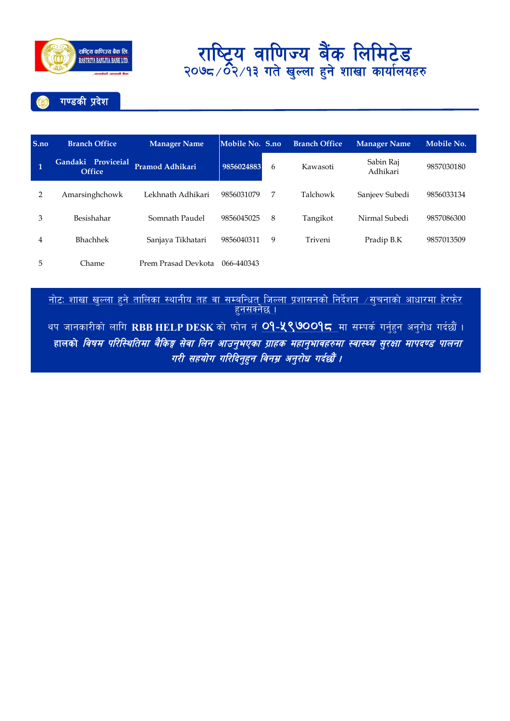

गण्डकी प्रदेश

| S.no         | <b>Branch Office</b>                | <b>Manager Name</b> | Mobile No. S.no |   | <b>Branch Office</b> | <b>Manager Name</b>   | Mobile No. |
|--------------|-------------------------------------|---------------------|-----------------|---|----------------------|-----------------------|------------|
| $\mathbf{1}$ | Gandaki Proviceial<br><b>Office</b> | Pramod Adhikari     | 9856024883      | 6 | Kawasoti             | Sabin Raj<br>Adhikari | 9857030180 |
| 2            | Amarsinghchowk                      | Lekhnath Adhikari   | 9856031079      | 7 | Talchowk             | Sanjeev Subedi        | 9856033134 |
| 3            | Besishahar                          | Somnath Paudel      | 9856045025      | 8 | Tangikot             | Nirmal Subedi         | 9857086300 |
| 4            | <b>Bhachhek</b>                     | Sanjaya Tikhatari   | 9856040311      | 9 | Triveni              | Pradip B.K            | 9857013509 |
| 5            | Chame                               | Prem Prasad Devkota | 066-440343      |   |                      |                       |            |

<u>नोटः शाखा खुल्ला हुने तालिका स्थानीय तह वा सम्बन्धित जिल्ला प्रशासनको निर्देशन ⁄सुचनाको आधारमा हेरफेर </u><br>हु<u>नसक्नेछ ।</u>

थप जानकारीको लागि RBB HELP DESK को फोन नं <mark>O9-५९७००१८</mark> मा सम्पर्क गर्नुहुन अनुरोध गर्दछौं । हालको विषम परिस्थितिमा बैकिङ्ग सेवा लिन आउनुभएका ग्राहक महानुभावहरुमा स्वास्थ्य सुरक्षा मापदण्ड पालना गरी सहयोग गरिदिनुहुन विनम्र अनुरोध गर्दछौं ।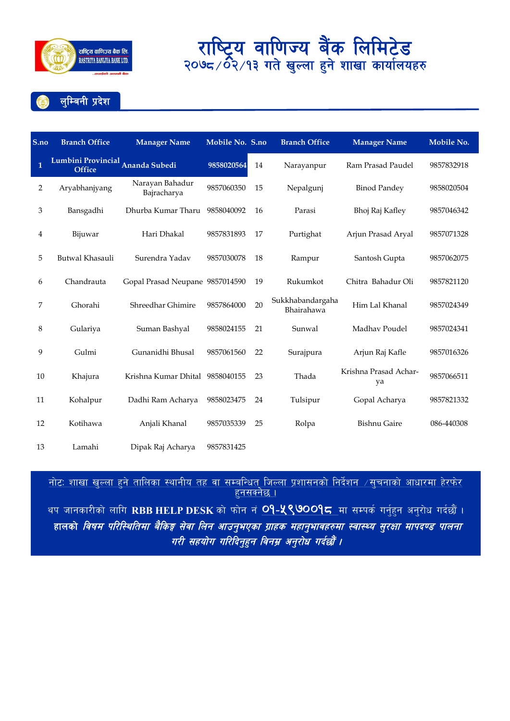

लुम्बिनी प्रदेश

| S.no         | <b>Branch Office</b>                       | <b>Manager Name</b>             | Mobile No. S.no |    | <b>Branch Office</b>           | <b>Manager Name</b>         | Mobile No. |  |
|--------------|--------------------------------------------|---------------------------------|-----------------|----|--------------------------------|-----------------------------|------------|--|
| $\mathbf{1}$ | Lumbini Provincial Ananda Subedi<br>Office |                                 | 9858020564      | 14 | Narayanpur                     | Ram Prasad Paudel           | 9857832918 |  |
| 2            | Aryabhanjyang                              | Narayan Bahadur<br>Bajracharya  | 9857060350      | 15 | Nepalgunj                      | <b>Binod Pandey</b>         | 9858020504 |  |
| 3            | Bansgadhi                                  | Dhurba Kumar Tharu              | 9858040092      | 16 | Parasi                         | Bhoj Raj Kafley             | 9857046342 |  |
| 4            | Bijuwar                                    | Hari Dhakal                     | 9857831893      | 17 | Purtighat                      | Arjun Prasad Aryal          | 9857071328 |  |
| 5            | Butwal Khasauli                            | Surendra Yadav                  | 9857030078      | 18 | Rampur                         | Santosh Gupta               | 9857062075 |  |
| 6            | Chandrauta                                 | Gopal Prasad Neupane 9857014590 |                 | 19 | Rukumkot                       | Chitra Bahadur Oli          | 9857821120 |  |
| 7            | Ghorahi                                    | Shreedhar Ghimire               | 9857864000      | 20 | Sukkhabandargaha<br>Bhairahawa | Him Lal Khanal              | 9857024349 |  |
| 8            | Gulariya                                   | Suman Bashyal                   | 9858024155      | 21 | Sunwal                         | Madhav Poudel               | 9857024341 |  |
| 9            | Gulmi                                      | Gunanidhi Bhusal                | 9857061560      | 22 | Surajpura                      | Arjun Raj Kafle             | 9857016326 |  |
| 10           | Khajura                                    | Krishna Kumar Dhital 9858040155 |                 | 23 | Thada                          | Krishna Prasad Achar-<br>ya | 9857066511 |  |
| 11           | Kohalpur                                   | Dadhi Ram Acharya               | 9858023475      | 24 | Tulsipur                       | Gopal Acharya               | 9857821332 |  |
| 12           | Kotihawa                                   | Anjali Khanal                   | 9857035339      | 25 | Rolpa                          | <b>Bishnu Gaire</b>         | 086-440308 |  |
| 13           | Lamahi                                     | Dipak Raj Acharya               | 9857831425      |    |                                |                             |            |  |

<u>नोटः शाखा खुल्ला हुने तालिका स्थानीय तह वा सम्बन्धित् जिल्ला प्रशासनको निर्देशन  $\neq$ सुचनाको आधारमा हेरफेर</u> <u>हनसक्नेछ ।</u>

थप जानकारीको लागि RBB HELP DESK को फोन नं <mark>O9-५९७009८</mark> मा सम्पर्क गर्नुहन अनुरोध गर्दछौं । हालको *विषम परिस्थितिमा बैकिङ्ग सेवा लिन आउनुभएका ग्राहक महानुभावहरुमा स्वास्थ्य सुरक्षा मापदण्ड पालना* गरी सहयोग गरिदिन्**हन विनम्र अन्**रोध गर्दछौं ।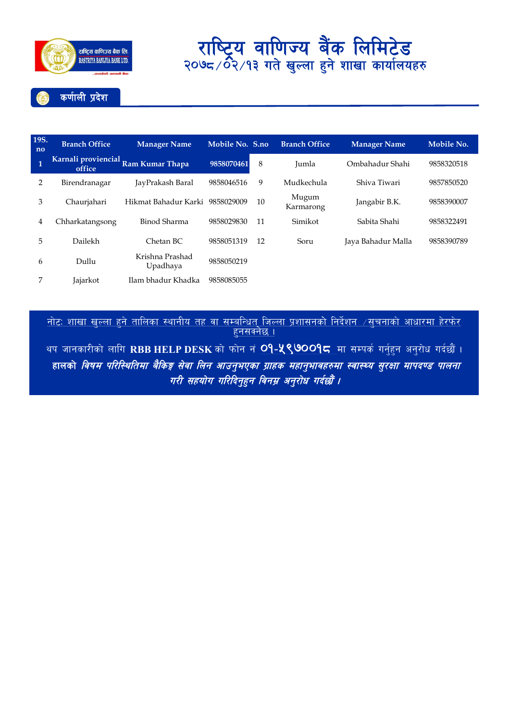

| 19S.<br>no     | <b>Branch Office</b> | <b>Manager Name</b>                 | Mobile No. S.no |    | <b>Branch Office</b> | <b>Manager Name</b> | Mobile No. |
|----------------|----------------------|-------------------------------------|-----------------|----|----------------------|---------------------|------------|
| $\overline{1}$ | office               | Karnali proviencial Ram Kumar Thapa | 9858070461      | 8  | Jumla                | Ombahadur Shahi     | 9858320518 |
| 2              | Birendranagar        | JayPrakash Baral                    | 9858046516      | 9  | Mudkechula           | Shiva Tiwari        | 9857850520 |
| 3              | Chaurjahari          | Hikmat Bahadur Karki 9858029009     |                 | 10 | Mugum<br>Karmarong   | Jangabir B.K.       | 9858390007 |
| 4              | Chharkatangsong      | Binod Sharma                        | 9858029830      | 11 | Simikot              | Sabita Shahi        | 9858322491 |
| 5              | Dailekh              | Chetan BC                           | 9858051319      | 12 | Soru                 | Jaya Bahadur Malla  | 9858390789 |
| 6              | Dullu                | Krishna Prashad<br>Upadhaya         | 9858050219      |    |                      |                     |            |
| 7              | <b>Jajarkot</b>      | Ilam bhadur Khadka                  | 9858085055      |    |                      |                     |            |

<u>नाटः शाखा खुल्ला हुन तालिका स्थानाय तह वा सम्बान्धत जिल्ला प्रशासनका निदेशन ⁄सुचनाका आधारमा हरफर </u> <u>हुनसक्नछ ।</u>

थप जानकारीको लागि RBB HELP DESK को फोन नं <mark>O9-<mark>५९७</mark>00<mark>9८</mark> मा सम्पर्क गर्नुहुन अनुरोध गर्दछौं ।</mark> हालको *विषम परिस्थितिमा बैकिङ्ग सेवा लिन आउनुभएका ग्राहक महानुभावहरुमा स्वास्थ्य सुरक्षा मापदण्ड पालना* गरी सहयोग गरिदिनुहुन विनम्र अनुरोध गर्दछौं ।